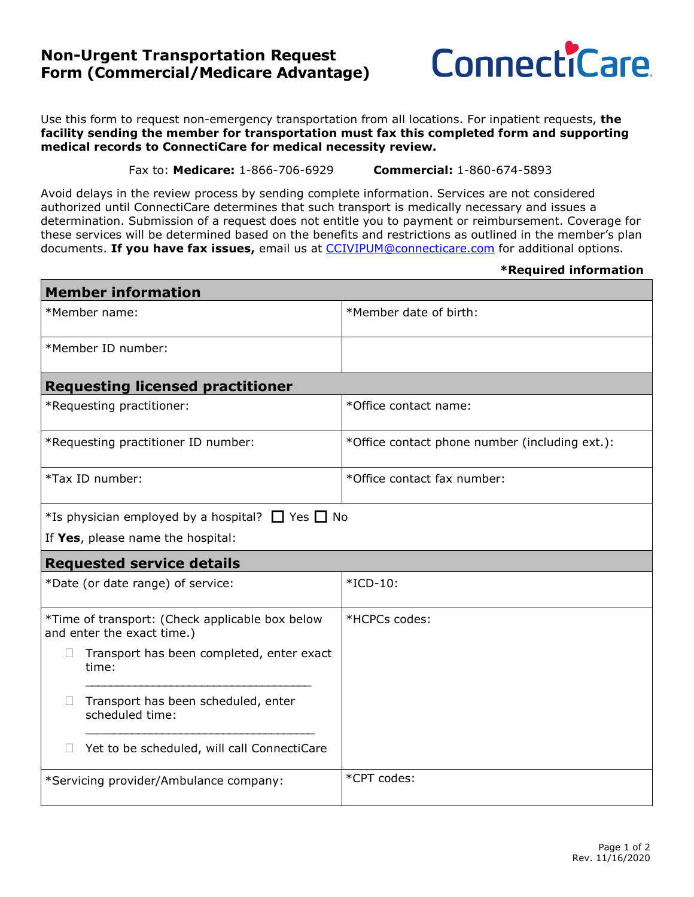## **Non-Urgent Transportation Request Form (Commercial/Medicare Advantage)**



Use this form to request non-emergency transportation from all locations. For inpatient requests, **the facility sending the member for transportation must fax this completed form and supporting medical records to ConnectiCare for medical necessity review.**

Fax to: **Medicare:** 1-866-706-6929 **Commercial:** 1-860-674-5893

Avoid delays in the review process by sending complete information. Services are not considered authorized until ConnectiCare determines that such transport is medically necessary and issues a determination. Submission of a request does not entitle you to payment or reimbursement. Coverage for these services will be determined based on the benefits and restrictions as outlined in the member's plan documents. **If you have fax issues,** email us at [CCIVIPUM@connecticare.com](mailto:CCIVIPUM@connecticare.com) for additional options.

## **\*Required information**

| <b>Member information</b>                                                     |                                                        |                                                |  |  |  |  |  |
|-------------------------------------------------------------------------------|--------------------------------------------------------|------------------------------------------------|--|--|--|--|--|
| *Member name:                                                                 |                                                        | *Member date of birth:                         |  |  |  |  |  |
| *Member ID number:                                                            |                                                        |                                                |  |  |  |  |  |
| <b>Requesting licensed practitioner</b>                                       |                                                        |                                                |  |  |  |  |  |
| *Requesting practitioner:                                                     |                                                        | *Office contact name:                          |  |  |  |  |  |
| *Requesting practitioner ID number:                                           |                                                        | *Office contact phone number (including ext.): |  |  |  |  |  |
| *Tax ID number:                                                               |                                                        | *Office contact fax number:                    |  |  |  |  |  |
| *Is physician employed by a hospital? $\Box$ Yes $\Box$ No                    |                                                        |                                                |  |  |  |  |  |
| If Yes, please name the hospital:                                             |                                                        |                                                |  |  |  |  |  |
| <b>Requested service details</b>                                              |                                                        |                                                |  |  |  |  |  |
| *Date (or date range) of service:                                             |                                                        | $*ICD-10$ :                                    |  |  |  |  |  |
| *Time of transport: (Check applicable box below<br>and enter the exact time.) |                                                        | *HCPCs codes:                                  |  |  |  |  |  |
|                                                                               | Transport has been completed, enter exact<br>time:     |                                                |  |  |  |  |  |
| $\Box$                                                                        | Transport has been scheduled, enter<br>scheduled time: |                                                |  |  |  |  |  |
|                                                                               | Yet to be scheduled, will call ConnectiCare            |                                                |  |  |  |  |  |
| *Servicing provider/Ambulance company:                                        |                                                        | *CPT codes:                                    |  |  |  |  |  |